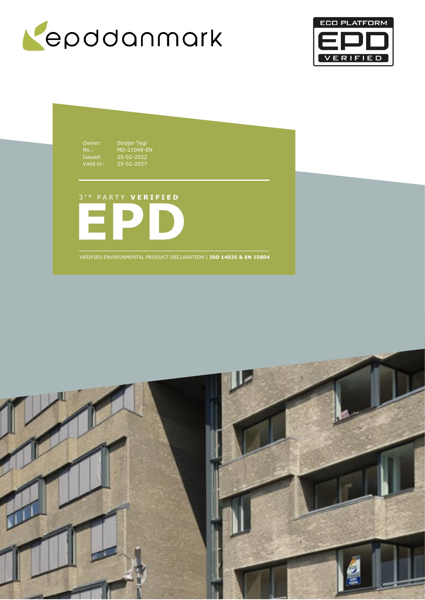



Owner: Strøjer Tegl No.: MD-21048-EN Issued: 25-02-2022 Valid to: 25-02-2027

**EPD** 3 r d P A R T Y **V E R I F I E D**

VERIFIED ENVIRONMENTAL PRODUCT DECLARATION | **ISO 14025 & EN 15804**

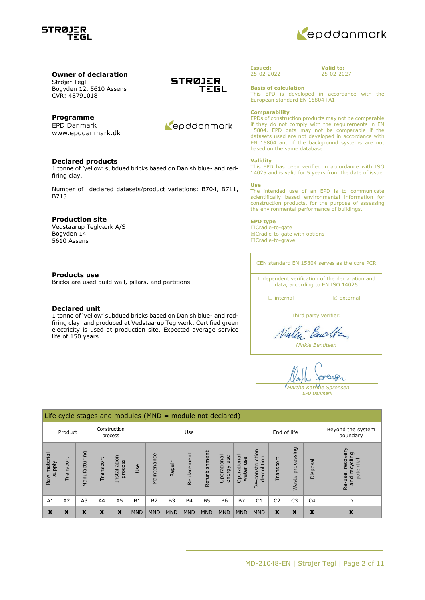



# **Owner of declaration** Strøjer Tegl

Bogyden 12, 5610 Assens CVR: 48791018

# **Programme**

EPD Danmark www.epddanmark.dk

### **Declared products**

1 tonne of 'yellow' subdued bricks based on Danish blue- and redfiring clay.

Number of declared datasets/product variations: B704, B711, B713

### **Production site**

Vedstaarup Teglværk A/S Bogyden 14 5610 Assens

### **Products use**

Bricks are used build wall, pillars, and partitions.

### **Declared unit**

1 tonne of 'yellow' subdued bricks based on Danish blue- and redfiring clay. and produced at Vedstaarup Teglværk. Certified green electricity is used at production site. Expected average service life of 150 years.





### **Issued:** 25-02-2022

**Valid to:** 25-02-2027

**Basis of calculation**

This EPD is developed in accordance with the European standard EN 15804+A1.

#### **Comparability**

EPDs of construction products may not be comparable if they do not comply with the requirements in EN 15804. EPD data may not be comparable if the datasets used are not developed in accordance with EN 15804 and if the background systems are not based on the same database.

### **Validity**

This EPD has been verified in accordance with ISO 14025 and is valid for 5 years from the date of issue.

#### **Use**

The intended use of an EPD is to communicate scientifically based environmental information for construction products, for the purpose of assessing the environmental performance of buildings.

### **EPD type**

☐Cradle-to-gate ☒Cradle-to-gate with options ☐Cradle-to-grave

CEN standard EN 15804 serves as the core PCR

Independent verification of the declaration and data, according to EN ISO 14025

□ internal **a** external

Third party verifier:

Nielen Backten

*Ninkie Bendtsen*

renser *Martha Katrine Sørensen EPD Danmark*

|                                    | Life cycle stages and modules ( $MND =$ module not declared) |               |                |                         |            |                     |                |             |               |                              |                               |                                 |                |                     |                |                                                      |
|------------------------------------|--------------------------------------------------------------|---------------|----------------|-------------------------|------------|---------------------|----------------|-------------|---------------|------------------------------|-------------------------------|---------------------------------|----------------|---------------------|----------------|------------------------------------------------------|
| Construction<br>Product<br>process |                                                              |               | Use            |                         |            |                     |                | End of life |               |                              | Beyond the system<br>boundary |                                 |                |                     |                |                                                      |
| Raw material<br><b>Alddns</b>      | Transport                                                    | Manufacturing | ransport       | Installation<br>process | Jse        | nce<br>na<br>Mainte | Repair         | Replacement | Refurbishment | Operational<br>use<br>energy | Operational<br>use<br>water   | construction<br>demolition<br>B | Transport      | processing<br>Waste | Disposal       | recovery<br>recycling<br>potential<br>Re-use,<br>and |
| A <sub>1</sub>                     | A2                                                           | A3            | A <sub>4</sub> | A <sub>5</sub>          | <b>B1</b>  | <b>B2</b>           | B <sub>3</sub> | <b>B4</b>   | <b>B5</b>     | <b>B6</b>                    | <b>B7</b>                     | C <sub>1</sub>                  | C <sub>2</sub> | C <sub>3</sub>      | C <sub>4</sub> | D                                                    |
| X                                  | Х                                                            | х             | Х              | X                       | <b>MND</b> | <b>MND</b>          | <b>MND</b>     | <b>MND</b>  | <b>MND</b>    | <b>MND</b>                   | <b>MND</b>                    | <b>MND</b>                      | X              | Х                   | X              | Х                                                    |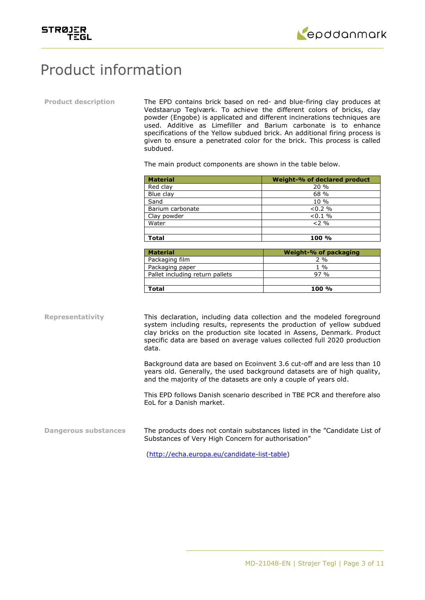



# Product information

**Product description** The EPD contains brick based on red- and blue-firing clay produces at Vedstaarup Teglværk. To achieve the different colors of bricks, clay powder (Engobe) is applicated and different incinerations techniques are used. Additive as Limefiller and Barium carbonate is to enhance specifications of the Yellow subdued brick. An additional firing process is given to ensure a penetrated color for the brick. This process is called subdued.

The main product components are shown in the table below.

| <b>Material</b>  | Weight-% of declared product |
|------------------|------------------------------|
| Red clay         | 20%                          |
| Blue clay        | 68 %                         |
| Sand             | $10\%$                       |
| Barium carbonate | $< 0.2 \%$                   |
| Clay powder      | $< 0.1 \%$                   |
| Water            | $2\%$                        |
|                  |                              |
| <b>Total</b>     | 100 %                        |

| <b>Material</b>                 | Weight-% of packaging |
|---------------------------------|-----------------------|
| Packaging film                  | $2\%$                 |
| Packaging paper                 | $1\%$                 |
| Pallet including return pallets | 97.9 <sub>0</sub>     |
|                                 |                       |
| Total                           | $100 \%$              |

**Representativity** This declaration, including data collection and the modeled foreground system including results, represents the production of yellow subdued clay bricks on the production site located in Assens, Denmark. Product specific data are based on average values collected full 2020 production data.

> Background data are based on Ecoinvent 3.6 cut-off and are less than 10 years old. Generally, the used background datasets are of high quality, and the majority of the datasets are only a couple of years old.

> This EPD follows Danish scenario described in TBE PCR and therefore also EoL for a Danish market.

**Dangerous substances** The products does not contain substances listed in the "Candidate List of Substances of Very High Concern for authorisation"

[\(http://echa.europa.eu/candidate-list-table\)](http://echa.europa.eu/candidate-list-table)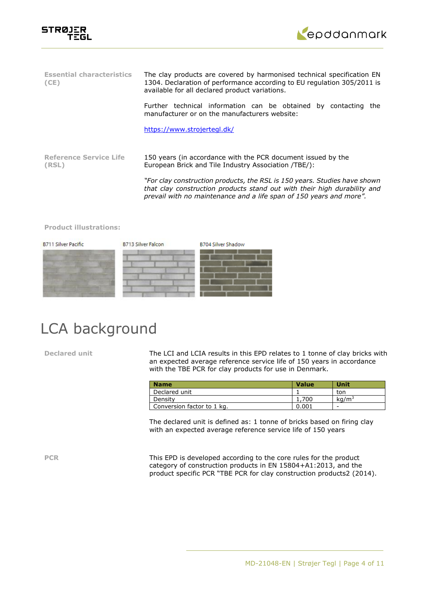



| <b>Essential characteristics</b><br>(CE) | The clay products are covered by harmonised technical specification EN<br>1304. Declaration of performance according to EU regulation 305/2011 is<br>available for all declared product variations.                          |  |  |  |  |  |
|------------------------------------------|------------------------------------------------------------------------------------------------------------------------------------------------------------------------------------------------------------------------------|--|--|--|--|--|
|                                          | Further technical information can be obtained by contacting<br>the<br>manufacturer or on the manufacturers website:                                                                                                          |  |  |  |  |  |
|                                          | https://www.strojertegl.dk/                                                                                                                                                                                                  |  |  |  |  |  |
| <b>Reference Service Life</b><br>(RSL)   | 150 years (in accordance with the PCR document issued by the<br>European Brick and Tile Industry Association (TBE):                                                                                                          |  |  |  |  |  |
|                                          | "For clay construction products, the RSL is 150 years. Studies have shown<br>that clay construction products stand out with their high durability and<br>prevail with no maintenance and a life span of 150 years and more". |  |  |  |  |  |

### **Product illustrations:**



# LCA background

**Declared unit** The LCI and LCIA results in this EPD relates to 1 tonne of clay bricks with an expected average reference service life of 150 years in accordance with the TBE PCR for clay products for use in Denmark.

| <b>Name</b>                | <b>Value</b> | Unit              |
|----------------------------|--------------|-------------------|
| Declared unit              |              | ton               |
| Density                    | 1,700        | kq/m <sup>3</sup> |
| Conversion factor to 1 kg. | 0.001        | -                 |

The declared unit is defined as: 1 tonne of bricks based on firing clay with an expected average reference service life of 150 years

**PCR** This EPD is developed according to the core rules for the product category of construction products in EN 15804+A1:2013, and the product specific PCR "TBE PCR for clay construction products2 (2014).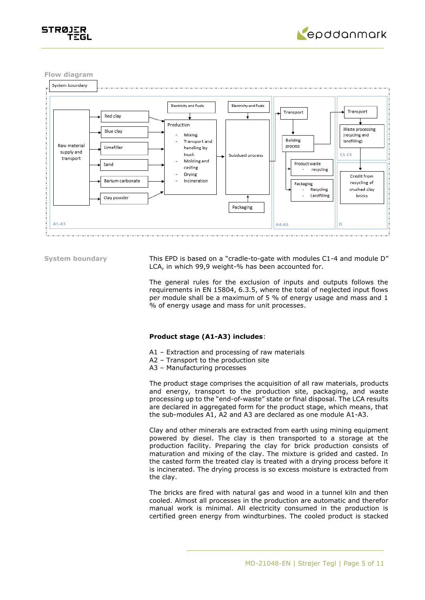



**Flow diagram**



**System boundary** This EPD is based on a "cradle-to-gate with modules C1-4 and module D" LCA, in which 99,9 weight-% has been accounted for.

> The general rules for the exclusion of inputs and outputs follows the requirements in EN 15804, 6.3.5, where the total of neglected input flows per module shall be a maximum of 5 % of energy usage and mass and 1 % of energy usage and mass for unit processes.

### **Product stage (A1-A3) includes**:

- A1 Extraction and processing of raw materials
- A2 Transport to the production site
- A3 Manufacturing processes

The product stage comprises the acquisition of all raw materials, products and energy, transport to the production site, packaging, and waste processing up to the "end-of-waste" state or final disposal. The LCA results are declared in aggregated form for the product stage, which means, that the sub-modules A1, A2 and A3 are declared as one module A1-A3.

Clay and other minerals are extracted from earth using mining equipment powered by diesel. The clay is then transported to a storage at the production facility. Preparing the clay for brick production consists of maturation and mixing of the clay. The mixture is grided and casted. In the casted form the treated clay is treated with a drying process before it is incinerated. The drying process is so excess moisture is extracted from the clay.

The bricks are fired with natural gas and wood in a tunnel kiln and then cooled. Almost all processes in the production are automatic and therefor manual work is minimal. All electricity consumed in the production is certified green energy from windturbines. The cooled product is stacked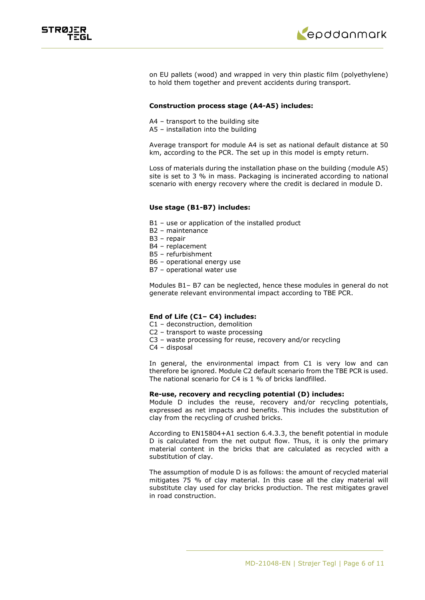



on EU pallets (wood) and wrapped in very thin plastic film (polyethylene) to hold them together and prevent accidents during transport.

## **Construction process stage (A4-A5) includes:**

- A4 transport to the building site
- A5 installation into the building

Average transport for module A4 is set as national default distance at 50 km, according to the PCR. The set up in this model is empty return.

Loss of materials during the installation phase on the building (module A5) site is set to 3 % in mass. Packaging is incinerated according to national scenario with energy recovery where the credit is declared in module D.

### **Use stage (B1-B7) includes:**

- B1 use or application of the installed product
- B2 maintenance
- B3 repair
- B4 replacement
- B5 refurbishment
- B6 operational energy use
- B7 operational water use

Modules B1– B7 can be neglected, hence these modules in general do not generate relevant environmental impact according to TBE PCR.

## **End of Life (C1– C4) includes:**

- C1 deconstruction, demolition
- C2 transport to waste processing
- C3 waste processing for reuse, recovery and/or recycling
- C4 disposal

In general, the environmental impact from C1 is very low and can therefore be ignored. Module C2 default scenario from the TBE PCR is used. The national scenario for C4 is 1 % of bricks landfilled.

# **Re-use, recovery and recycling potential (D) includes:**

Module D includes the reuse, recovery and/or recycling potentials, expressed as net impacts and benefits. This includes the substitution of clay from the recycling of crushed bricks.

According to EN15804+A1 section 6.4.3.3, the benefit potential in module D is calculated from the net output flow. Thus, it is only the primary material content in the bricks that are calculated as recycled with a substitution of clay.

The assumption of module D is as follows: the amount of recycled material mitigates 75 % of clay material. In this case all the clay material will substitute clay used for clay bricks production. The rest mitigates gravel in road construction.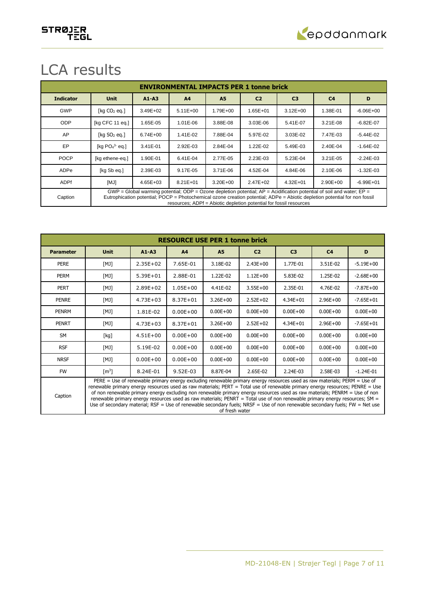

# LCA results

|                  | <b>ENVIRONMENTAL IMPACTS PER 1 tonne brick</b>                                                                                                                                                                                                                                                                                  |              |                |              |                |                |                |               |  |  |  |  |
|------------------|---------------------------------------------------------------------------------------------------------------------------------------------------------------------------------------------------------------------------------------------------------------------------------------------------------------------------------|--------------|----------------|--------------|----------------|----------------|----------------|---------------|--|--|--|--|
| <b>Indicator</b> | <b>Unit</b>                                                                                                                                                                                                                                                                                                                     | $A1 - A3$    | A <sub>4</sub> | <b>A5</b>    | C <sub>2</sub> | C <sub>3</sub> | C <sub>4</sub> | D             |  |  |  |  |
| <b>GWP</b>       | [kg $CO2$ eg.]                                                                                                                                                                                                                                                                                                                  | 3.49E+02     | $5.11E + 00$   | 1.79E+00     | 1.65E+01       | $3.12E + 00$   | 1.38E-01       | $-6.06E + 00$ |  |  |  |  |
| <b>ODP</b>       | [kg CFC 11 eq.]                                                                                                                                                                                                                                                                                                                 | 1.65E-05     | 1.01E-06       | 3.88E-08     | 3.03E-06       | 5.41E-07       | 3.21E-08       | $-6.82E - 07$ |  |  |  |  |
| AP               | [ $kg SO2 eq.]$                                                                                                                                                                                                                                                                                                                 | $6.74E + 00$ | 1.41E-02       | 7.88E-04     | 5.97E-02       | 3.03E-02       | 7.47E-03       | $-5.44E - 02$ |  |  |  |  |
| EP               | [kg $PO43$ eg.]                                                                                                                                                                                                                                                                                                                 | 3.41E-01     | 2.92E-03       | 2.84E-04     | 1.22E-02       | 5.49E-03       | 2.40E-04       | $-1.64E - 02$ |  |  |  |  |
| <b>POCP</b>      | [kg ethene-eg.]                                                                                                                                                                                                                                                                                                                 | 1.90E-01     | 6.41E-04       | 2.77E-05     | 2.23E-03       | $5.23E - 04$   | 3.21E-05       | $-2.24E - 03$ |  |  |  |  |
| ADPe             | [kg Sb eq.]                                                                                                                                                                                                                                                                                                                     | 2.39E-03     | 9.17E-05       | 3.71E-06     | 4.52E-04       | 4.84E-06       | 2.10E-06       | $-1.32E - 03$ |  |  |  |  |
| ADPf             | [MJ]                                                                                                                                                                                                                                                                                                                            | $4.65E + 03$ | $8.21E + 01$   | $3.20E + 00$ | 2.47E+02       | $4.32E + 01$   | $2.90E + 00$   | $-6.99E + 01$ |  |  |  |  |
| Caption          | $GWP = Global$ warming potential; ODP = Ozone depletion potential; $AP = Acidification$ potential of soil and water; $EP =$<br>Eutrophication potential; POCP = Photochemical ozone creation potential; ADPe = Abiotic depletion potential for non fossil<br>resources; ADPf = Abiotic depletion potential for fossil resources |              |                |              |                |                |                |               |  |  |  |  |

|                  | <b>RESOURCE USE PER 1 tonne brick</b>                                                                                                                                                                                                                                                                                                                                                                                                                                                                                                                                                                                                                                            |              |                |              |                |                |                |               |  |  |  |
|------------------|----------------------------------------------------------------------------------------------------------------------------------------------------------------------------------------------------------------------------------------------------------------------------------------------------------------------------------------------------------------------------------------------------------------------------------------------------------------------------------------------------------------------------------------------------------------------------------------------------------------------------------------------------------------------------------|--------------|----------------|--------------|----------------|----------------|----------------|---------------|--|--|--|
| <b>Parameter</b> | <b>Unit</b>                                                                                                                                                                                                                                                                                                                                                                                                                                                                                                                                                                                                                                                                      | $A1 - A3$    | A <sub>4</sub> | <b>A5</b>    | C <sub>2</sub> | C <sub>3</sub> | C <sub>4</sub> | D             |  |  |  |
| <b>PERE</b>      | [MJ]                                                                                                                                                                                                                                                                                                                                                                                                                                                                                                                                                                                                                                                                             | $2.35E+02$   | 7.65E-01       | 3.18E-02     | $2.43E + 00$   | 1.77E-01       | 3.51E-02       | $-5.19E + 00$ |  |  |  |
| <b>PERM</b>      | [MJ]                                                                                                                                                                                                                                                                                                                                                                                                                                                                                                                                                                                                                                                                             | 5.39E+01     | 2.88E-01       | 1.22E-02     | $1.12E + 00$   | 5.83E-02       | 1.25E-02       | $-2.68E + 00$ |  |  |  |
| <b>PERT</b>      | [MJ]                                                                                                                                                                                                                                                                                                                                                                                                                                                                                                                                                                                                                                                                             | $2.89E + 02$ | $1.05E + 00$   | 4.41E-02     | $3.55E + 00$   | 2.35E-01       | 4.76E-02       | $-7.87E + 00$ |  |  |  |
| <b>PENRE</b>     | [MJ]                                                                                                                                                                                                                                                                                                                                                                                                                                                                                                                                                                                                                                                                             | $4.73E + 03$ | $8.37E + 01$   | $3.26E + 00$ | $2.52E+02$     | $4.34E + 01$   | $2.96E + 00$   | $-7.65E + 01$ |  |  |  |
| <b>PENRM</b>     | [MJ]                                                                                                                                                                                                                                                                                                                                                                                                                                                                                                                                                                                                                                                                             | 1.81E-02     | $0.00E + 00$   | $0.00E + 00$ | $0.00E + 00$   | $0.00E + 00$   | $0.00E + 00$   | $0.00E + 00$  |  |  |  |
| <b>PENRT</b>     | [MJ]                                                                                                                                                                                                                                                                                                                                                                                                                                                                                                                                                                                                                                                                             | $4.73E + 03$ | $8.37E + 01$   | $3.26E + 00$ | $2.52E+02$     | $4.34E + 01$   | $2.96E + 00$   | $-7.65E + 01$ |  |  |  |
| <b>SM</b>        | [kg]                                                                                                                                                                                                                                                                                                                                                                                                                                                                                                                                                                                                                                                                             | $4.51E + 00$ | $0.00E + 00$   | $0.00E + 00$ | $0.00E + 00$   | $0.00E + 00$   | $0.00E + 00$   | $0.00E + 00$  |  |  |  |
| <b>RSF</b>       | [MJ]                                                                                                                                                                                                                                                                                                                                                                                                                                                                                                                                                                                                                                                                             | 5.19E-02     | $0.00E + 00$   | $0.00E + 00$ | $0.00E + 00$   | $0.00E + 00$   | $0.00E + 00$   | $0.00E + 00$  |  |  |  |
| <b>NRSF</b>      | [MJ]                                                                                                                                                                                                                                                                                                                                                                                                                                                                                                                                                                                                                                                                             | $0.00E + 00$ | $0.00E + 00$   | $0.00E + 00$ | $0.00E + 00$   | $0.00E + 00$   | $0.00E + 00$   | $0.00E + 00$  |  |  |  |
| <b>FW</b>        | $\lceil m^3 \rceil$                                                                                                                                                                                                                                                                                                                                                                                                                                                                                                                                                                                                                                                              | 8.24E-01     | $9.52E - 03$   | 8.87E-04     | 2.65E-02       | 2.24E-03       | 2.58E-03       | $-1.24E - 01$ |  |  |  |
| Caption          | PERE = Use of renewable primary energy excluding renewable primary energy resources used as raw materials; PERM = Use of<br>renewable primary energy resources used as raw materials; PERT = Total use of renewable primary energy resources; PENRE = Use<br>of non renewable primary energy excluding non renewable primary energy resources used as raw materials; PENRM = Use of non<br>renewable primary energy resources used as raw materials; PENRT = Total use of non renewable primary energy resources; $SM =$<br>Use of secondary material; $RSF = Use$ of renewable secondary fuels; $NRSF = Use$ of non renewable secondary fuels; $FW = Net$ use<br>of fresh water |              |                |              |                |                |                |               |  |  |  |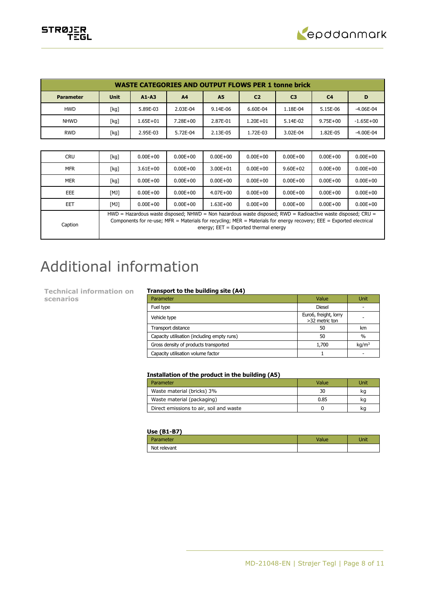

|                  | <b>WASTE CATEGORIES AND OUTPUT FLOWS PER 1 tonne brick</b> |              |                |           |                |                |                |               |  |  |  |
|------------------|------------------------------------------------------------|--------------|----------------|-----------|----------------|----------------|----------------|---------------|--|--|--|
| <b>Parameter</b> | <b>Unit</b>                                                | $A1 - A3$    | A <sub>4</sub> | <b>A5</b> | C <sub>2</sub> | C <sub>3</sub> | C <sub>4</sub> | D             |  |  |  |
| <b>HWD</b>       | [kg]                                                       | 5.89E-03     | 2.03E-04       | 9.14E-06  | 6.60E-04       | 1.18E-04       | 5.15E-06       | $-4.06E - 04$ |  |  |  |
| <b>NHWD</b>      | [kg]                                                       | $1.65E + 01$ | $7.28E + 00$   | 2.87E-01  | $1.20E + 01$   | 5.14E-02       | $9.75E + 00$   | $-1.65E + 00$ |  |  |  |
| <b>RWD</b>       | [kg]                                                       | 2.95E-03     | 5.72E-04       | 2.13E-05  | 1.72E-03       | 3.02E-04       | 1.82E-05       | $-4.00E - 04$ |  |  |  |

| <b>CRU</b> | [kg] | $0.00E + 00$                                                                                                                                                                                                                                                                      | $0.00E + 00$ | $0.00E + 00$ | $0.00E + 00$ | $0.00E + 00$ | $0.00E + 00$ | $0.00E + 00$ |
|------------|------|-----------------------------------------------------------------------------------------------------------------------------------------------------------------------------------------------------------------------------------------------------------------------------------|--------------|--------------|--------------|--------------|--------------|--------------|
| <b>MFR</b> | [kg] | $3.61E + 00$                                                                                                                                                                                                                                                                      | $0.00E + 00$ | $3.00E + 01$ | $0.00E + 00$ | $9.60E + 02$ | $0.00E + 00$ | $0.00E + 00$ |
| <b>MER</b> | [kg] | $0.00E + 00$                                                                                                                                                                                                                                                                      | $0.00E + 00$ | $0.00E + 00$ | $0.00E + 00$ | $0.00E + 00$ | $0.00E + 00$ | $0.00E + 00$ |
| EEE        | [MJ] | $0.00E + 00$                                                                                                                                                                                                                                                                      | $0.00E + 00$ | $4.07E + 00$ | $0.00E + 00$ | $0.00E + 00$ | $0.00E + 00$ | $0.00E + 00$ |
| EET        | [MJ] | $0.00E + 00$                                                                                                                                                                                                                                                                      | $0.00E + 00$ | $1.63E + 00$ | $0.00E + 00$ | $0.00E + 00$ | $0.00E + 00$ | $0.00E + 00$ |
| Caption    |      | $HWD =$ Hazardous waste disposed; NHWD = Non hazardous waste disposed; RWD = Radioactive waste disposed; CRU =<br>Components for re-use; MFR = Materials for recycling; MER = Materials for energy recovery; EEE = Exported electrical<br>energy; $EET = Exported thermal energy$ |              |              |              |              |              |              |

# Additional information

**Technical information on scenarios**

# **Transport to the building site (A4)**

| Parameter                                   | Value                                   | Unit              |
|---------------------------------------------|-----------------------------------------|-------------------|
| Fuel type                                   | <b>Diesel</b>                           |                   |
| Vehicle type                                | Euro6, freight, lorry<br>>32 metric ton |                   |
| Transport distance                          | 50                                      | km                |
| Capacity utilisation (including empty runs) | 50                                      | $\%$              |
| Gross density of products transported       | 1,700                                   | kq/m <sup>3</sup> |
| Capacity utilisation volume factor          |                                         |                   |

## **Installation of the product in the building (A5)**

| Parameter                               | Value | Unit |
|-----------------------------------------|-------|------|
| Waste material (bricks) 3%              | 30    | ka   |
| Waste material (packaging)              | 0.85  | ka   |
| Direct emissions to air, soil and waste |       | ka   |

### **Use (B1-B7)**

| arameter     | مساحا<br>raiue | Unit |
|--------------|----------------|------|
| Not relevant |                |      |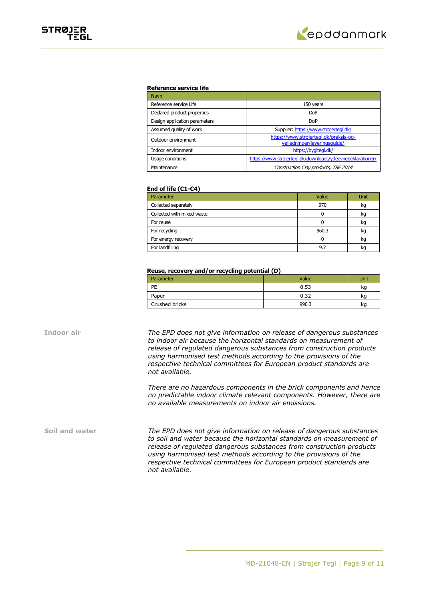

### **Reference service life**

| Navn                          |                                                                        |
|-------------------------------|------------------------------------------------------------------------|
| Reference service Life        | 150 years                                                              |
| Declared product properties   | <b>DoP</b>                                                             |
| Design application parameters | <b>DoP</b>                                                             |
| Assumed quality of work       | Supplier: https://www.strojertegl.dk/                                  |
| Outdoor environment           | https://www.strojertegl.dk/praksis-og-<br>vejledninger/leveringsquide/ |
| Indoor environment            | https://bygitegl.dk/                                                   |
| Usage conditions              | https://www.strojertegl.dk/downloads/ydeevnedeklarationer/             |
| Maintenance                   | Construction Clay products, TBE 2014                                   |

### **End of life (C1-C4)**

| Parameter                  | Value | Unit |
|----------------------------|-------|------|
| Collected separately       | 970   | kg   |
| Collected with mixed waste |       | kq   |
| For reuse                  |       | kg   |
| For recycling              | 960.3 | kq   |
| For energy recovery        |       | kg   |
| For landfilling            | 9.7   | ĸc   |

### **Reuse, recovery and/or recycling potential (D)**

| Parameter      | Value | Unit |
|----------------|-------|------|
| PE             | 0.53  | kg   |
| Paper          | 0.32  | kg   |
| Crushed bricks | 990.3 | kg   |

**Indoor air** *The EPD does not give information on release of dangerous substances to indoor air because the horizontal standards on measurement of release of regulated dangerous substances from construction products using harmonised test methods according to the provisions of the respective technical committees for European product standards are not available.*

> *There are no hazardous components in the brick components and hence no predictable indoor climate relevant components. However, there are no available measurements on indoor air emissions.*

**Soil and water** *The EPD does not give information on release of dangerous substances to soil and water because the horizontal standards on measurement of release of regulated dangerous substances from construction products using harmonised test methods according to the provisions of the respective technical committees for European product standards are not available.*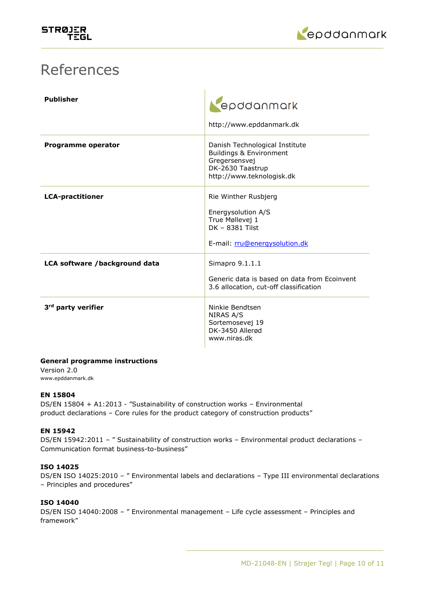

# References

| <b>Publisher</b>               | epddanmark<br>http://www.epddanmark.dk                                                                                      |
|--------------------------------|-----------------------------------------------------------------------------------------------------------------------------|
| Programme operator             | Danish Technological Institute<br>Buildings & Environment<br>Gregersensvej<br>DK-2630 Taastrup<br>http://www.teknologisk.dk |
| <b>LCA-practitioner</b>        | Rie Winther Rusbjerg<br>Energysolution A/S<br>True Møllevej 1<br>DK - 8381 Tilst<br>E-mail: rru@energysolution.dk           |
| LCA software /background data  | Simapro 9.1.1.1<br>Generic data is based on data from Ecoinvent<br>3.6 allocation, cut-off classification                   |
| 3 <sup>rd</sup> party verifier | Ninkie Bendtsen<br>NIRAS A/S<br>Sortemosevej 19<br>DK-3450 Allerød<br>www.niras.dk                                          |

# **General programme instructions**

Version 2.0 www.epddanmark.dk

# **EN 15804**

DS/EN 15804 + A1:2013 - "Sustainability of construction works – Environmental product declarations – Core rules for the product category of construction products"

# **EN 15942**

DS/EN 15942:2011 - " Sustainability of construction works - Environmental product declarations -Communication format business-to-business"

# **ISO 14025**

DS/EN ISO 14025:2010 – " Environmental labels and declarations – Type III environmental declarations – Principles and procedures"

# **ISO 14040**

DS/EN ISO 14040:2008 – " Environmental management – Life cycle assessment – Principles and framework"